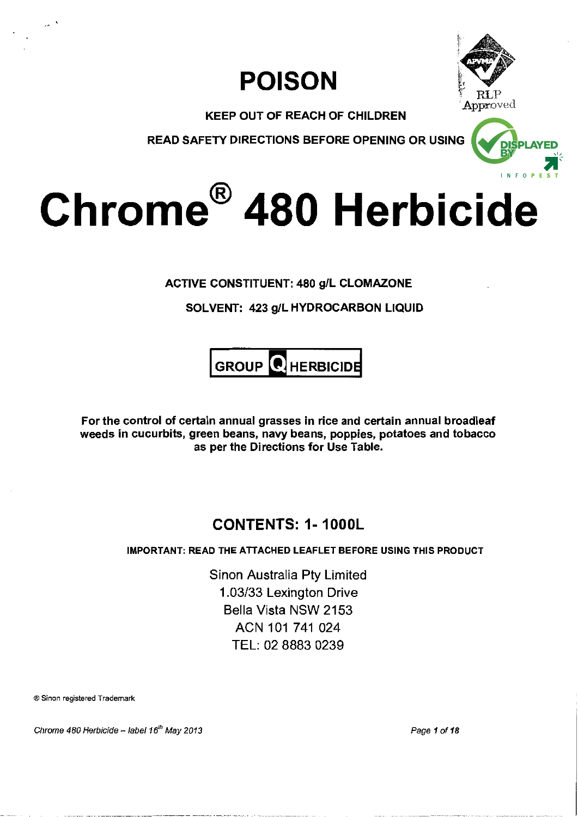



KEEP OUT OF REACH OF CHILDREN

READ SAFETY DIRECTIONS BEFORE OPENING OR USING



# **Chrome® 480 Herbicide**

ACTIVE CONSTITUENT: 480 g/L CLOMAZONE

SOLVENT: 423 g/L HYDROCARBON LIQUID



For the control of certain annual grasses in rice and certain annual broadleaf weeds in cucurbits, green beans, navy beans, poppies, potatoes and tobacco as per the Directions for Use Table.

# **CONTENTS: 1-1000L**

# IMPORTANT: READ THE ATTACHED LEAFLET BEFORE USING THIS PRODUCT

Sinon Australia Pty Limited 1.03/33 Lexington Drive Bella Vista NSW 2153 ACN 101 741 024 TEL: 02 8883 0239

®Sinon registered Trademark

Chrome 480 Herbicide - label 16<sup>th</sup> May 2013

Page 1 of 18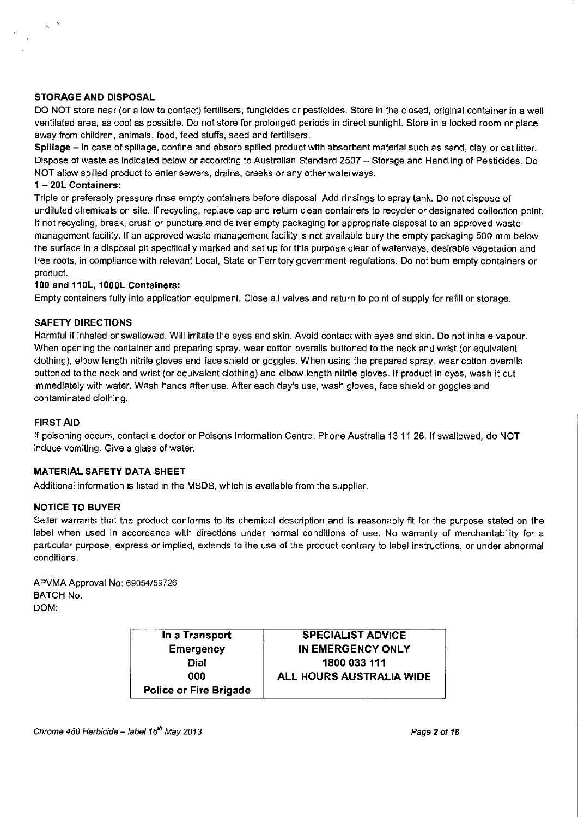#### **STORAGE AND DISPOSAL**

DO NOT store near (or allow to contact) fertilisers, fungicides or pesticides. Store in the closed, original container in a well ventilated area, as cool as possible. Do not store for prolonged periods in direct sunlight. Store in a locked room or place away from children, animals, food, feed stuffs, seed and fertilisers.

Spillage – In case of spillage, confine and absorb spilled product with absorbent material such as sand, clay or cat litter. Dispose of waste as indicated below or according to Australian Standard 2507- Storage and Handling of Pesticides. Do NOT allow spilled product to enter sewers, drains, creeks or any other waterways.

#### **1 - 20L Containers:**

Triple or preferably pressure rinse empty containers before disposal. Add rinsings to spray tank. Do not dispose of undiluted chemicals on site. If recycling, replace cap and return clean containers to recycler or designated collection point. If not recycling, break, crush or puncture and deliver empty packaging for appropriate disposal to an approved waste management facility. If an approved waste management facility is not available bury the empty packaging 500 mm below the surface in a disposal pit specifically marked and set up for this purpose clear of waterways, desirable vegetation and tree roots, in compliance with relevant Local, State or Territory government regulations. Do not burn empty containers or product.

### **100 and 110L, 1000L Containers:**

Empty containers fully into application equipment. Close all valves and return to point of supply for refill or storage.

### **SAFETY DIRECTIONS**

Harmful if inhaled or swallowed. Will irritate the eyes and skin. Avoid contact with eyes and skin. Do not inhale vapour. When opening the container and preparing spray, wear cotton overalls buttoned to the neck and wrist (or equivalent clothing), elbow length nitrile gloves and face shield or goggles. When using the prepared spray, wear cotton overalls buttoned to the neck and wrist (or equivalent clothing) and elbow length nitrile gloves. If product in eyes, wash it out immediately with water. Wash hands after use. After each day's use, wash gloves, face shield or goggles and contaminated clothing.

#### **FIRST AID**

If poisoning occurs, contact a doctor or Poisons Information Centre. Phone Australia 13 11 26. If swallowed, do NOT induce vomiting. Give a glass of water.

# **MATERIAL SAFETY DATA SHEET**

Additional information is listed in the MSDS, which is available from the supplier.

#### **NOTICE TO BUYER**

Seller warrants that the product conforms to its chemical description and is reasonably fit for the purpose stated on the label when used in accordance with directions under normal conditions of use. No warranty of merchantability for a particular purpose, express or implied, extends to the use of the product contrary to label instructions, or under abnormal conditions.

APVMA Approval No: 69054/59726 BATCH No. DOM:

| In a Transport         | <b>SPECIALIST ADVICE</b> |
|------------------------|--------------------------|
| <b>Emergency</b>       | IN EMERGENCY ONLY        |
| <b>Dial</b>            | 1800 033 111             |
| aaa                    | ALL HOURS AUSTRALIA WIDE |
| Police or Fire Brigade |                          |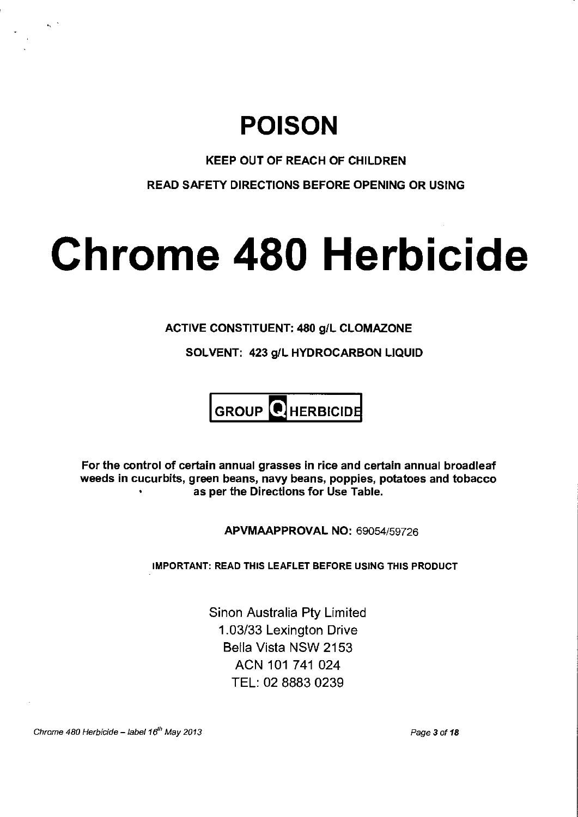# **POISON**

# KEEP OUT OF REACH OF CHILDREN

READ SAFETY DIRECTIONS BEFORE OPENING OR USING

# **Chrome 480 Herbicide**

# ACTIVE CONSTITUENT: 480 g/L CLOMAZONE

SOLVENT: 423 g/L HYDROCARBON LIQUID

# $GROUP$  HERBICIDE

For the control of certain annual grasses in rice and certain annual broadleaf weeds in cucurbits, green beans, navy beans, poppies, potatoes and tobacco as per the Directions for Use Table.

APVMAAPPROVAL NO: 69054/59726

IMPORTANT: READ THIS LEAFLET BEFORE USING THIS PRODUCT

Sinon Australia Pty Limited 1.03/33 Lexington Drive Bella Vista NSW 2153 ACN 101 741 024 TEL: 02 8883 0239

Chrome 480 Herbicide - label 16<sup>th</sup> May 2013

Page 3 of 18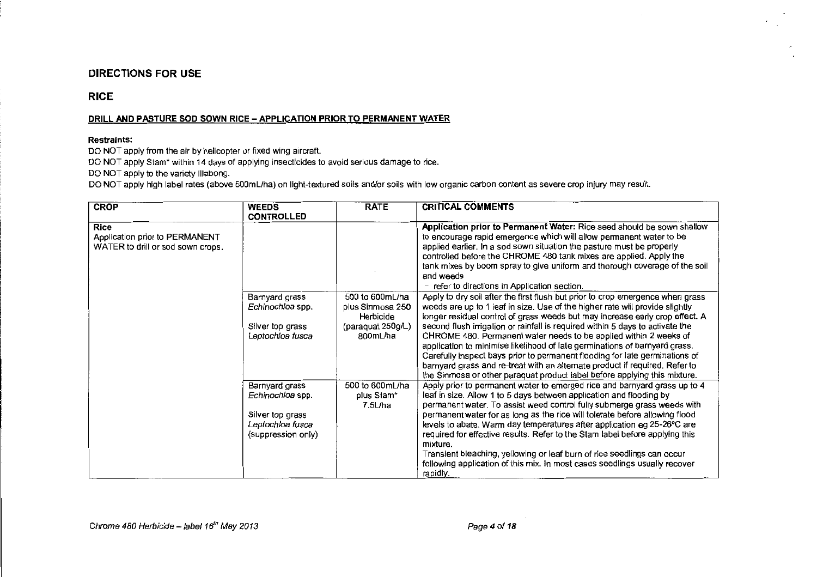### DIRECTIONS FOR USE

# RICE

#### DRILL AND PASTURE SOD SOWN RICE- APPLICATION PRIOR TO PERMANENT WATER

#### Restraints:

DO NOT apply from the air by helicopter or fixed wing aircraft.

DO NOT apply Stam<sup>\*</sup> within 14 days of applying insecticides to avoid serious damage to rice.

DO NOT apply to the variety lllabong.

DO NOT apply high label rates (above 500mL/ha) on light-textured soils and/or soils with low organic carbon content as severe crop injury may result.

| <b>CROP</b>                                                                        | <b>WEEDS</b><br><b>CONTROLLED</b>                                                                | <b>RATE</b>                                                                       | <b>CRITICAL COMMENTS</b>                                                                                                                                                                                                                                                                                                                                                                                                                                                                                                                                          |
|------------------------------------------------------------------------------------|--------------------------------------------------------------------------------------------------|-----------------------------------------------------------------------------------|-------------------------------------------------------------------------------------------------------------------------------------------------------------------------------------------------------------------------------------------------------------------------------------------------------------------------------------------------------------------------------------------------------------------------------------------------------------------------------------------------------------------------------------------------------------------|
| <b>Rice</b><br>Application prior to PERMANENT<br>WATER to drill or sod sown crops. |                                                                                                  |                                                                                   | Application prior to Permanent Water: Rice seed should be sown shallow<br>to encourage rapid emergence which will allow permanent water to be<br>applied earlier. In a sod sown situation the pasture must be properly<br>controlled before the CHROME 480 tank mixes are applied. Apply the<br>tank mixes by boom spray to give uniform and thorough coverage of the soil<br>and weeds<br>- refer to directions in Application section.                                                                                                                          |
|                                                                                    | Barnyard grass<br>Echinochloa spp.<br>Silver top grass<br>Leptochioa fusca                       | 500 to 600mL/ha<br>plus Sinmosa 250<br>Herbicide<br>(paraquat 250g/L)<br>800mL/ha | Apply to dry soil after the first flush but prior to crop emergence when grass<br>weeds are up to 1 leaf in size. Use of the higher rate will provide slightly<br>longer residual control of grass weeds but may increase early crop effect. A<br>second flush irrigation or rainfall is required within 5 days to activate the<br>CHROME 480. Permanent water needs to be applied within 2 weeks of<br>application to minimise likelihood of late germinations of barnyard grass.<br>Carefully inspect bays prior to permanent flooding for late germinations of |
|                                                                                    |                                                                                                  |                                                                                   | barnyard grass and re-treat with an alternate product if required. Refer to<br>the Sinmosa or other paraquat product label before applying this mixture.                                                                                                                                                                                                                                                                                                                                                                                                          |
|                                                                                    | Barnyard grass<br>Echinochloa spp.<br>Silver top grass<br>Leptochloa fusca<br>(suppression only) | 500 to 600 mL/ha<br>plus Stam*<br>7.5L/ha                                         | Apply prior to permanent water to emerged rice and barnyard grass up to 4<br>leaf in size. Allow 1 to 5 days between application and flooding by<br>permanent water. To assist weed control fully submerge grass weeds with<br>permanent water for as long as the rice will tolerate before allowing flood<br>levels to abate. Warm day temperatures after application eg 25-26°C are<br>required for effective results. Refer to the Stam label before applying this<br>mixture.                                                                                 |
|                                                                                    |                                                                                                  |                                                                                   | Transient bleaching, yellowing or leaf burn of rice seedlings can occur<br>following application of this mix. In most cases seedlings usually recover<br>rapidly.                                                                                                                                                                                                                                                                                                                                                                                                 |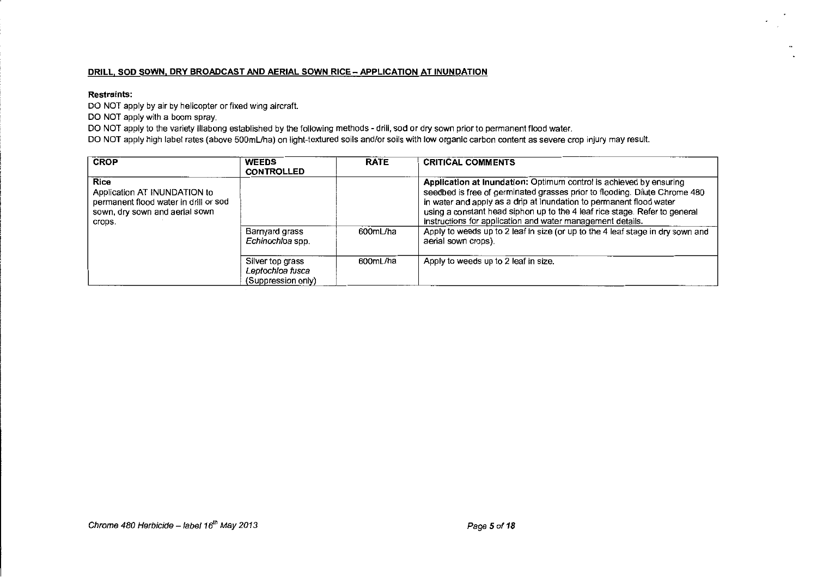#### **DRILL, SOD SOWN. DRY BROADCAST AND AERIAL SOWN RICE- APPLICATION AT INUNDATION**

#### **Restraints:**

DO NOT apply by air by helicopter or fixed wing aircraft.

DO NOT apply with a boom spray.

DO NOT apply to the variety Illabong established by the following methods - drill, sod or dry sown prior to permanent flood water.

DO NOT apply high label rates (above 500mL/ha) on light-textured soils and/or soils with low organic carbon content as severe crop injury may result.

| <b>CROP</b>                                                                                                               | <b>WEEDS</b><br><b>CONTROLLED</b>                          | <b>RATE</b> | <b>CRITICAL COMMENTS</b>                                                                                                                                                                                                                                                                                                                                                                                                                                                     |
|---------------------------------------------------------------------------------------------------------------------------|------------------------------------------------------------|-------------|------------------------------------------------------------------------------------------------------------------------------------------------------------------------------------------------------------------------------------------------------------------------------------------------------------------------------------------------------------------------------------------------------------------------------------------------------------------------------|
| Rice<br>Application AT INUNDATION to<br>permanent flood water in drill or sod<br>sown, dry sown and aerial sown<br>crops. | Barnyard grass<br>Echinochloa spp.                         | 600mL/ha    | Application at Inundation: Optimum control is achieved by ensuring<br>seedbed is free of germinated grasses prior to flooding. Dilute Chrome 480<br>in water and apply as a drip at inundation to permanent flood water<br>using a constant head siphon up to the 4 leaf rice stage. Refer to general<br>instructions for application and water management details.<br>Apply to weeds up to 2 leaf in size (or up to the 4 leaf stage in dry sown and<br>aerial sown crops). |
|                                                                                                                           | Silver top grass<br>Leptochloa fusca<br>(Suppression only) | 600mL/ha    | Apply to weeds up to 2 leaf in size.                                                                                                                                                                                                                                                                                                                                                                                                                                         |

 $\cdot$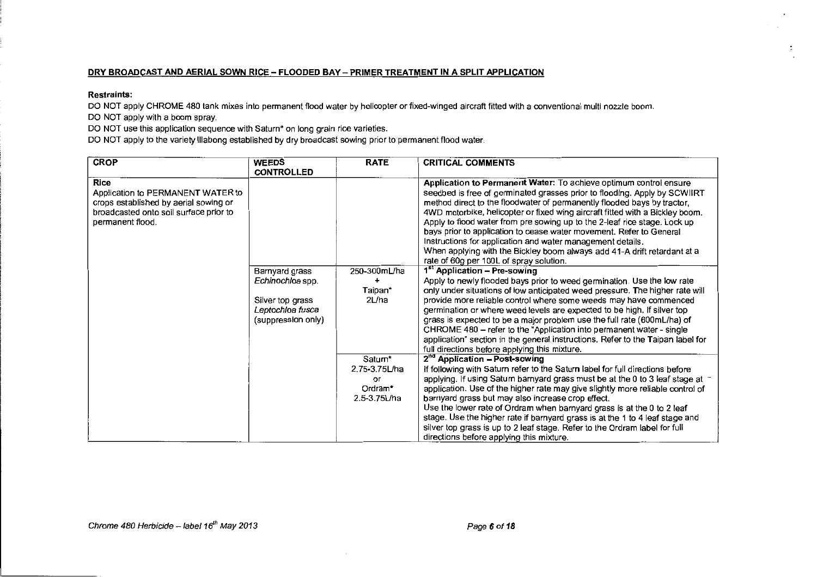#### DRY BROADCAST AND AERIAL SOWN RICE - FLOODED BAY - PRIMER TREATMENT IN A SPLIT APPLICATION

#### Restraints:

DO NOT apply CHROME 480 tank mixes into permanent flood water by helioopter or fixed-winged aircraft fitted with a oonventional multi nozzle boom. DO NOT apply with a boom spray.

DO NOT use this application sequence with Saturn\* on long grain rice varieties.

DO NOT apply to the variety lllabong established by dry broadcast sowing prior to permanent flood water.

| <b>CROP</b>                                                                                                                                             | <b>WEEDS</b><br><b>CONTROLLED</b>                                                                | <b>RATE</b>                                               | <b>CRITICAL COMMENTS</b>                                                                                                                                                                                                                                                                                                                                                                                                                                                                                                                                                                                                                           |
|---------------------------------------------------------------------------------------------------------------------------------------------------------|--------------------------------------------------------------------------------------------------|-----------------------------------------------------------|----------------------------------------------------------------------------------------------------------------------------------------------------------------------------------------------------------------------------------------------------------------------------------------------------------------------------------------------------------------------------------------------------------------------------------------------------------------------------------------------------------------------------------------------------------------------------------------------------------------------------------------------------|
| <b>Rice</b><br>Application to PERMANENT WATER to<br>crops established by aerial sowing or<br>broadcasted onto soil surface prior to<br>permanent flood. |                                                                                                  |                                                           | Application to Permanent Water: To achieve optimum control ensure<br>seedbed is free of germinated grasses prior to flooding. Apply by SCWIIRT<br>method direct to the floodwater of permanently flooded bays by tractor,<br>4WD motorbike, helicopter or fixed wing aircraft fitted with a Bickley boom.<br>Apply to flood water from pre sowing up to the 2-leaf rice stage. Lock up<br>bays prior to application to cease water movement. Refer to General<br>Instructions for application and water management details.<br>When applying with the Bickley boom always add 41-A drift retardant at a<br>rate of 60g per 100L of spray solution. |
|                                                                                                                                                         | Barnyard grass<br>Echinochloa spp.<br>Silver top grass<br>Leptochloa fusca<br>(suppression only) | 250-300mL/ha<br>٠<br>Taipan*<br>2L/ha                     | 1 <sup>st</sup> Application - Pre-sowing<br>Apply to newly flooded bays prior to weed germination. Use the low rate<br>only under situations of low anticipated weed pressure. The higher rate will<br>provide more reliable control where some weeds may have commenced<br>germination or where weed levels are expected to be high. If silver top<br>grass is expected to be a major problem use the full rate (600mL/ha) of<br>CHROME 480 - refer to the "Application into permanent water - single<br>application" section in the general instructions. Refer to the Taipan label for<br>full directions before applying this mixture.         |
|                                                                                                                                                         |                                                                                                  | Saturn*<br>2.75-3.75L/ha<br>or<br>Ordram*<br>2.5-3.75L/ha | 2 <sup>nd</sup> Application - Post-sowing<br>If following with Saturn refer to the Saturn label for full directions before<br>applying. If using Saturn barnyard grass must be at the 0 to 3 leaf stage at a<br>application. Use of the higher rate may give slightly more reliable control of<br>barnyard grass but may also increase crop effect.<br>Use the lower rate of Ordram when barnyard grass is at the 0 to 2 leaf<br>stage. Use the higher rate if barnyard grass is at the 1 to 4 leaf stage and<br>silver top grass is up to 2 leaf stage. Refer to the Ordram label for full<br>directions before applying this mixture.            |

 $\mathbf{r}$ 

 $\ddot{\phantom{a}}$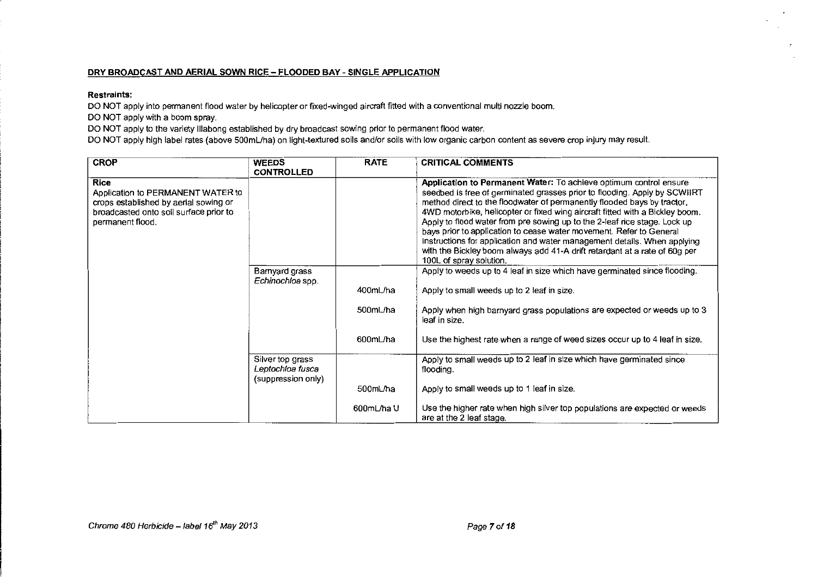#### **DRY BROADCAST AND AERIAL SOWN RICE- FLOODED BAY- SINGLE APPLICATION**

#### **Restraints:**

DO NOT apply into permanent flood water by helicopter or fixed-winged aircraft fitted with a conventional multi nozzle boom.

DO NOT apply with a boom spray.

DO NOT apply to the variety lllabong established by dry broadcast sowing prior to permanent flood water.

DO NOT apply high label rates (above 500mL/ha} on light-textured soils and/or soils with low organic carbon content as severe crop injury may result.

| <b>CROP</b>                                                                                                                                      | <b>WEEDS</b><br><b>CONTROLLED</b>                          | <b>RATE</b>          | <b>CRITICAL COMMENTS</b>                                                                                                                                                                                                                                                                                                                                                                                                                                                                                                                                                                                                                           |
|--------------------------------------------------------------------------------------------------------------------------------------------------|------------------------------------------------------------|----------------------|----------------------------------------------------------------------------------------------------------------------------------------------------------------------------------------------------------------------------------------------------------------------------------------------------------------------------------------------------------------------------------------------------------------------------------------------------------------------------------------------------------------------------------------------------------------------------------------------------------------------------------------------------|
| Rice<br>Application to PERMANENT WATER to<br>crops established by aerial sowing or<br>broadcasted onto soil surface prior to<br>permanent flood. |                                                            |                      | Application to Permanent Water: To achieve optimum control ensure<br>seedbed is free of germinated grasses prior to flooding. Apply by SCWIIRT<br>method direct to the floodwater of permanently flooded bays by tractor,<br>4WD motorbike, helicopter or fixed wing aircraft fitted with a Bickley boom.<br>Apply to flood water from pre sowing up to the 2-leaf rice stage. Lock up<br>bays prior to application to cease water movement. Refer to General<br>Instructions for application and water management details. When applying<br>with the Bickley boom always add 41-A drift retardant at a rate of 60g per<br>100L of spray solution. |
|                                                                                                                                                  | Barnyard grass<br>Echinochloa spp.                         | 400mL/ha<br>500mL/ha | Apply to weeds up to 4 leaf in size which have germinated since flooding.<br>Apply to small weeds up to 2 leaf in size.<br>Apply when high barnyard grass populations are expected or weeds up to 3                                                                                                                                                                                                                                                                                                                                                                                                                                                |
|                                                                                                                                                  |                                                            | 600mL/ha             | leaf in size.<br>Use the highest rate when a range of weed sizes occur up to 4 leaf in size.                                                                                                                                                                                                                                                                                                                                                                                                                                                                                                                                                       |
|                                                                                                                                                  | Silver top grass<br>Leptochloa fusca<br>(suppression only) |                      | Apply to small weeds up to 2 leaf in size which have germinated since<br>flooding.                                                                                                                                                                                                                                                                                                                                                                                                                                                                                                                                                                 |
|                                                                                                                                                  |                                                            | 500mL/ha             | Apply to small weeds up to 1 leaf in size.                                                                                                                                                                                                                                                                                                                                                                                                                                                                                                                                                                                                         |
|                                                                                                                                                  |                                                            | 600mL/ha U           | Use the higher rate when high silver top populations are expected or weeds<br>are at the 2 leaf stage.                                                                                                                                                                                                                                                                                                                                                                                                                                                                                                                                             |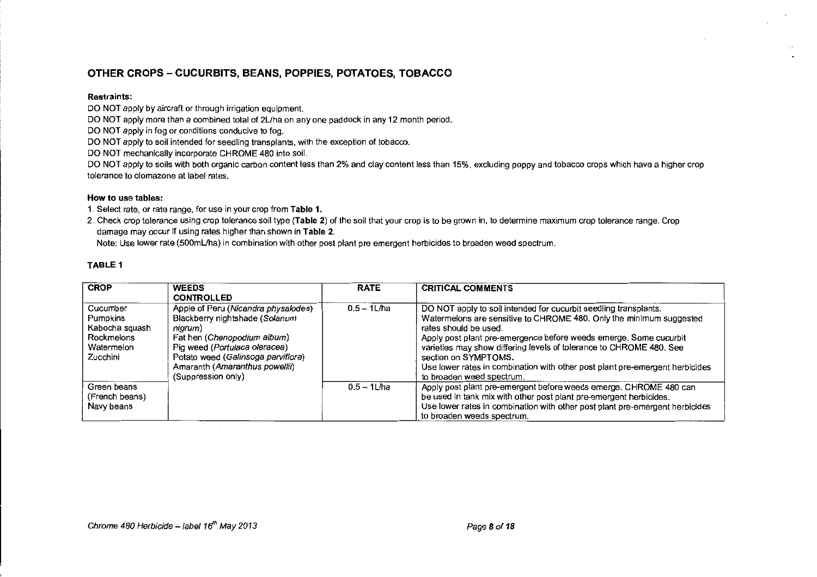# **OTHER CROPS- CUCURBITS, BEANS, POPPIES, POTATOES, TOBACCO**

#### **Restraints:**

DO NOT apply by aircraft or through irrigation equipment.

DO NOT apply more than a combined total of 2L/ha on any one paddock in any 12 month period.

DO NOT apply in fog or conditions conducive to fog.

DO NOT apply to soil intended for seedling transplants, with the exception of tobacco.

DO NOT mechanically incorporate CHROME 480 into soil.

DO NOT apply to soils with both organic carbon content less than 2% and clay content less than 15%, excluding poppy and tobacco crops which have a higher crop **tolerance to clomazone at label rates.** 

#### **How to use tables:**

1. Select rate, or rate range, for use in your crop from **Table 1.** 

2. Check crop tolerance using crop tolerance soil type **(Table** 2) of the soil that your crop is to be grown in, to determine maximum crop tolerance range. Crop damage may occur if using rates higher than shown in **Table 2.** 

Note: Use lower rate (500mL/ha) in combination with other post plant pre emergent herbicides to broaden weed spectrum.

#### **TABLE 1**

| <b>CROP</b>                                                                    | <b>WEEDS</b>                                                                                                                                                                                                                                   | <b>RATE</b>    | <b>CRITICAL COMMENTS</b>                                                                                                                                                                                                                                                                                                                                                                                                                          |
|--------------------------------------------------------------------------------|------------------------------------------------------------------------------------------------------------------------------------------------------------------------------------------------------------------------------------------------|----------------|---------------------------------------------------------------------------------------------------------------------------------------------------------------------------------------------------------------------------------------------------------------------------------------------------------------------------------------------------------------------------------------------------------------------------------------------------|
|                                                                                | <b>CONTROLLED</b>                                                                                                                                                                                                                              |                |                                                                                                                                                                                                                                                                                                                                                                                                                                                   |
| Cucumber<br>Pumpkins<br>Kabocha squash<br>Rockmelons<br>Watermelon<br>Zucchini | Apple of Peru (Nicandra physalodes)<br>Blackberry nightshade (Solanum<br>nigrum)<br>Fat hen (Chenopodium album)<br>Pig weed (Portulaca oleracea)<br>Potato weed (Galinsoga parviflora)<br>Amaranth (Amaranthus powellii)<br>(Suppression only) | $0.5 - 1$ L/ha | DO NOT apply to soil intended for cucurbit seedling transplants.<br>Watermelons are sensitive to CHROME 480. Only the minimum suggested<br>rates should be used.<br>Apply post plant pre-emergence before weeds emerge. Some cucurbit<br>varieties may show differing levels of tolerance to CHROME 480. See<br>section on SYMPTOMS.<br>Use lower rates in combination with other post plant pre-emergent herbicides<br>to broaden weed spectrum. |
| Green beans<br>(French beans)<br>Navy beans                                    |                                                                                                                                                                                                                                                | $0.5 - 11$ /ha | Apply post plant pre-emergent before weeds emerge. CHROME 480 can<br>be used in tank mix with other post plant pre-emergent herbicides.<br>Use lower rates in combination with other post plant pre-emergent herbicides<br>to broaden weeds spectrum.                                                                                                                                                                                             |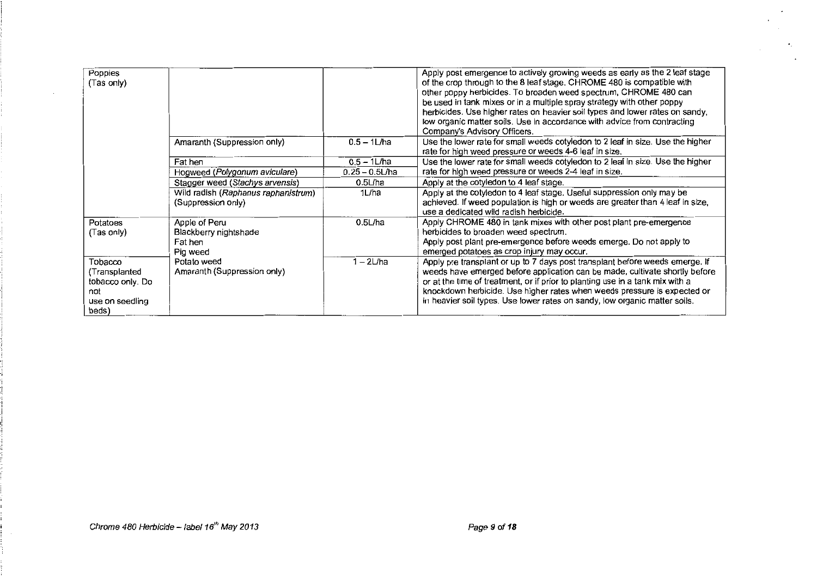| Poppies<br>(Tas only)                                                           |                                                               |                   | Apply post emergence to actively growing weeds as early as the 2 leaf stage<br>of the crop through to the 8 leaf stage. CHROME 480 is compatible with<br>other poppy herbicides. To broaden weed spectrum, CHROME 480 can<br>be used in tank mixes or in a multiple spray strategy with other poppy<br>herbicides. Use higher rates on heavier soil types and lower rates on sandy,<br>low organic matter soils. Use in accordance with advice from contracting<br>Company's Advisory Officers. |
|---------------------------------------------------------------------------------|---------------------------------------------------------------|-------------------|-------------------------------------------------------------------------------------------------------------------------------------------------------------------------------------------------------------------------------------------------------------------------------------------------------------------------------------------------------------------------------------------------------------------------------------------------------------------------------------------------|
|                                                                                 | Amaranth (Suppression only)                                   | $0.5 - 1$ L/ha    | Use the lower rate for small weeds cotyledon to 2 leaf in size. Use the higher<br>rate for high weed pressure or weeds 4-6 leaf in size.                                                                                                                                                                                                                                                                                                                                                        |
|                                                                                 | Fat hen                                                       | $0.5 - 1$ L/ha    | Use the lower rate for small weeds cotyledon to 2 leaf in size. Use the higher                                                                                                                                                                                                                                                                                                                                                                                                                  |
|                                                                                 | Hogweed (Polygonum aviculare)                                 | $0.25 - 0.5$ L/ha | rate for high weed pressure or weeds 2-4 leaf in size.                                                                                                                                                                                                                                                                                                                                                                                                                                          |
|                                                                                 | Stagger weed (Stachys arvensis)                               | $0.5$ L/ha        | Apply at the cotyledon to 4 leaf stage.                                                                                                                                                                                                                                                                                                                                                                                                                                                         |
|                                                                                 | Wild radish (Raphanus raphanistrum)<br>(Suppression only)     | 1L/ha             | Apply at the cotyledon to 4 leaf stage. Useful suppression only may be<br>achieved. If weed population is high or weeds are greater than 4 leaf in size,<br>use a dedicated wild radish herbicide.                                                                                                                                                                                                                                                                                              |
| Potatoes<br>(Tas only)                                                          | Apple of Peru<br>Blackberry nightshade<br>Fat hen<br>Pig weed | $0.5$ L/ha        | Apply CHROME 480 in tank mixes with other post plant pre-emergence<br>herbicides to broaden weed spectrum.<br>Apply post plant pre-emergence before weeds emerge. Do not apply to<br>emerged potatoes as crop injury may occur.                                                                                                                                                                                                                                                                 |
| Tobacco<br>(Transplanted<br>tobacco only. Do<br>not<br>use on seedling<br>beds) | Potato weed<br>Amaranth (Suppression only)                    | 1 - 2L/ha         | Apply pre transplant or up to 7 days post transplant before weeds emerge. If<br>weeds have emerged before application can be made, cultivate shortly before<br>or at the time of treatment, or if prior to planting use in a tank mix with a<br>knockdown herbicide. Use higher rates when weeds pressure is expected or<br>in heavier soil types. Use lower rates on sandy, low organic matter soils.                                                                                          |

 $\cdot$ 

 $\bullet_{\mathbb{Z}_+}$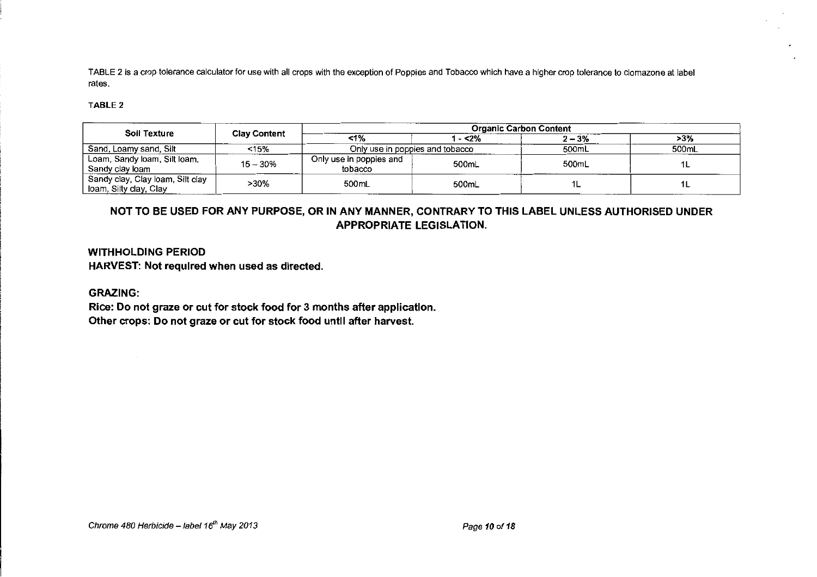TABLE 2 is a crop tolerance calculator for use with all crops with the exception of Poppies and Tobacco which have a higher crop tolerance to clomazone at label rates.

#### TABLE2

|                                                            | <b>Clay Content</b> | <b>Organic Carbon Content</b>      |         |          |       |  |
|------------------------------------------------------------|---------------------|------------------------------------|---------|----------|-------|--|
| Soil Texture                                               |                     | $1\%$                              | 1 - <2% | $2 - 3%$ | >3%   |  |
| Sand, Loamy sand, Silt                                     | <15%                | Only use in poppies and tobacco    |         | 500mL    | 500mL |  |
| Loam, Sandy loam, Silt loam,<br>Sandy clay loam            | $15 - 30%$          | Only use in poppies and<br>tobacco | 500mL   | 500mL    |       |  |
| Sandy clay, Clay loam, Silt clay<br>Ioam, Silty clay, Clay | >30%                | 500mL                              | 500mL   |          |       |  |

# NOT TO BE USED FOR ANY PURPOSE, OR IN ANY MANNER, CONTRARY TO THIS LABEL UNLESS AUTHORISED UNDER APPROPRIATE LEGISLATION.

# WITHHOLDING PERIOD HARVEST: Not required when used as directed.

### GRAZING:

Rice: Do not graze or cut for stock food for 3 months after application. Other crops: Do not graze or cut for stock food until after harvest.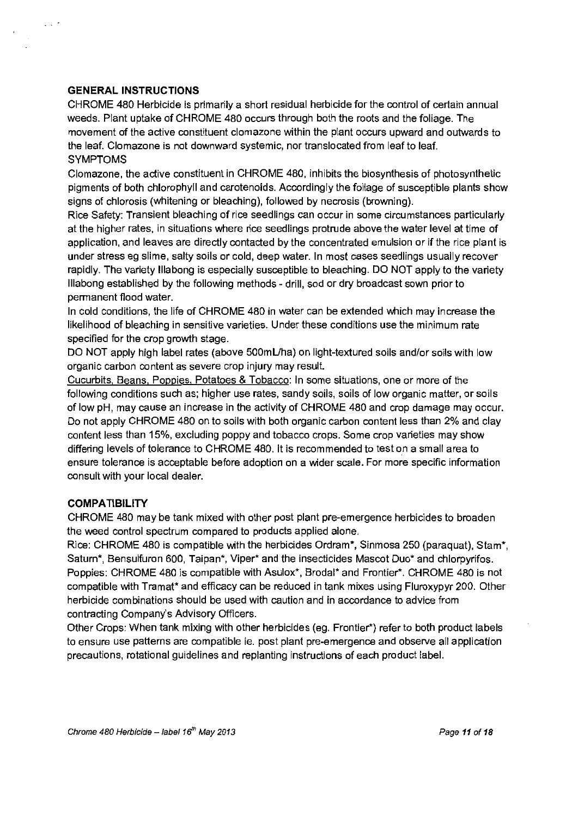# **GENERAL INSTRUCTIONS**

 $\ddotsc$ 

CHROME 480 Herbicide is primarily a short residual herbicide for the control of certain annual weeds. Plant uptake of CHROME 480 occurs through both the roots and the foliage. The movement of the active constituent clomazone within the plant occurs upward and outwards to the leaf. Clomazone is not downward systemic, nor translocated from leaf to leaf. SYMPTOMS

Clomazone, the active constituent in CHROME 480, inhibits the biosynthesis of photosynthetic pigments of both chlorophyll and carotenoids. Accordingly the foliage of susceptible plants show signs of chlorosis (whitening or bleaching), followed by necrosis {browning).

Rice Safety: Transient bleaching of rice seedlings can occur in some circumstances particularly at the higher rates, in situations where rice seedlings protrude above the water level at time of application, and leaves are directly contacted by the concentrated emulsion or if the rice plant is under stress eg slime, salty soils or cold, deep water. In most cases seedlings usually recover rapidly. The variety Illabong is especially susceptible to bleaching. DO NOT apply to the variety lllabong established by the following methods- drill, sod or dry broadcast sown prior to penmanent flood water.

In cold conditions, the life of CHROME 480 in water can be extended which may increase the likelihood of bleaching in sensitive varieties. Under these conditions use the minimum rate specified for the crop growth stage.

DO NOT apply high label rates (above 500mUha) on light-textured soils and/or soils with low organic carbon content as severe crop injury may result.

Cucurbits. Beans. Poppies. Potatoes & Tobacco: In some situations, one or more of the following conditions such as; higher use rates, sandy soils, soils of low organic matter, or soils of low pH, may cause an increase in the activity of CHROME 480 and crop damage may occur. Do not apply CHROME 480 on to soils with both organic carbon content less than 2% and clay content less than 15%, excluding poppy and tobacco crops. Some crop varieties may show differing levels of tolerance to CHROME 480. It is recommended to test on a small area to ensure tolerance is acceptable before adoption on a wider scale. For more specific information consult with your local dealer.

# **COMPATIBILITY**

CHROME 480 may be tank mixed with other post plant pre-emergence herbicides to broaden the weed control spectrum compared to products applied alone.

Rice: CHROME 480 is compatible with the herbicides Ordram\*, Sinmosa 250 (paraquat), Slam\*, Saturn\*, Bensulfuron 600, Taipan\*, Viper\* and the insecticides Mascot Duo\* and chlorpyrifos. Poppies: CHROME 480 is compatible with Asulox\*, Brodal\* and Frontier\*. CHROME 480 is not compatible with Tramat\* and efficacy can be reduced in tank mixes using Fluroxypyr 200. Other herbicide combinations should be used with caution and in accordance to advice from contracting Company's Advisory Officers.

Other Crops: When tank mixing with other herbicides (eg. Frontier\*) refer to both product labels to ensure use patterns are compatible ie. post plant pre-emergence and observe all application precautions, rotational guidelines and replanting instructions of each product label.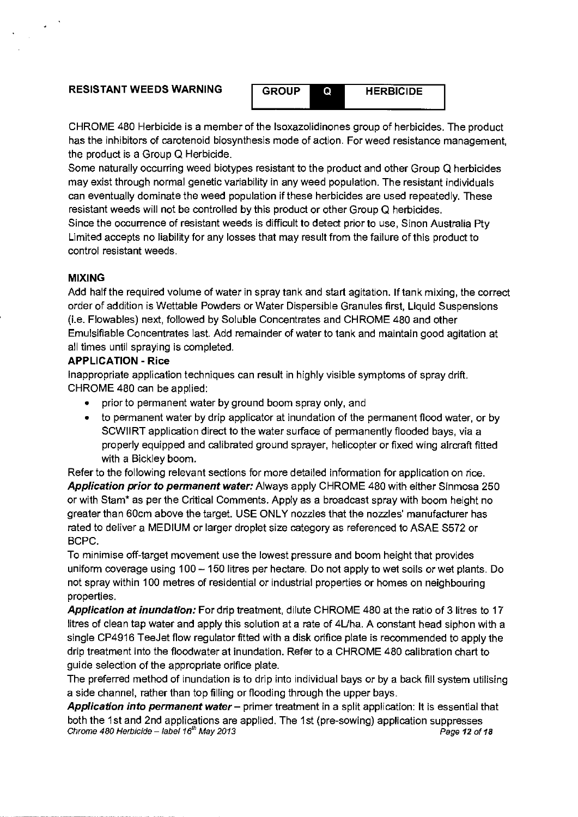# **RESISTANT WEEDS WARNING GROUP GET HERBICIDE**

CHROME 480 Herbicide is a member of the lsoxazolidinones group of herbicides. The product has the inhibitors of carotenoid biosynthesis mode of action. For weed resistance management, the product is a Group Q Herbicide.

Some naturally occurring weed biotypes resistant to the product and other Group Q herbicides may exist through normal genetic variability in any weed population. The resistant individuals can eventually dominate the weed population if these herbicides are used repeatedly. These resistant weeds will not be controlled by this product or other Group Q herbicides. Since the occurrence of resistant weeds is difficult to detect prior to use, Sinon Australia Ply Limited accepts no liability for any losses that may result from the failure of this product to

control resistant weeds.

# **MIXING**

Add half the required volume of water in spray tank and start agitation. If tank mixing, the correct order of addition is Wettable Powders or Water Dispersible Granules first, Liquid Suspensions (i.e. Flowables) next, followed by Soluble Concentrates and CHROME 480 and other Emulsifiable Concentrates last. Add remainder of water to tank and maintain good agitation at all times until spraying is completed.

# **APPLICATION- Rice**

Inappropriate application techniques can result in highly visible symptoms of spray drift. CHROME 480 can be applied:

- prior to permanent water by ground boom spray only, and
- to permanent water by drip applicator at inundation of the permanent flood water, or by SCWIIRT application direct to the water surface of permanently flooded bays, via a properly equipped and calibrated ground sprayer, helicopter or fixed wing aircraft fitted with a Bickley boom.

Refer to the following relevant sections for more detailed information for application on rice. **Application prior to permanent water:** Always apply CHROME 480 with either Sinmosa 250 or with Stam\* as per the Critical Comments. Apply as a broadcast spray with boom height no greater than 60cm above the target. USE ONLY nozzles that the nozzles' manufacturer has rated to deliver a MEDIUM or larger droplet size category as referenced to ASAE S572 or BCPC.

To minimise off-target movement use the lowest pressure and boom height that provides uniform coverage using 100- 150 litres per hectare. Do not apply to wet soils or wet plants. Do not spray within 100 metres of residential or industrial properties or homes on neighbouring properties.

Application at inundation: For drip treatment, dilute CHROME 480 at the ratio of 3 litres to 17 litres of clean tap water and apply this solution at a rate of 4Uha. A constant head siphon with a single CP4916 TeeJet flow regulator fitted with a disk orifice plate is recommended to apply the drip treatment into the floodwater at inundation. Refer to a CHROME 480 calibration chart to guide selection of the appropriate orifice plate.

The preferred method of inundation is to drip into individual bays or by a back fill system utilising a side channel, rather than top filling or flooding through the upper bays.

**Application into permanent water-** primer treatment in a split application: It is essential that both the 1st and 2nd applications are applied. The 1st (pre-sowing) application suppresses Chrome 480 Herbicide – label 16<sup>th</sup> May 2013 **Page 12 of 18** Page 12 of 18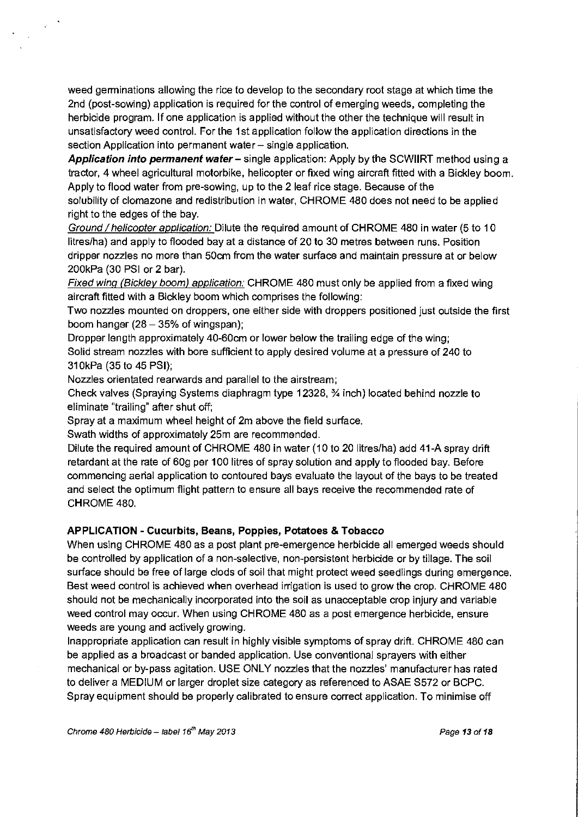weed germinations allowing the rice to develop to the secondary root stage at which time the 2nd (post-sowing) application is required for the control of emerging weeds, completing the herbicide program. If one application is applied without the other the technique will result in unsatisfactory weed control. For the 1st application follow the application directions in the section Application into permanent water - single application.

**Application into permanent water-** single application: Apply by the SCWIIRT method using a tractor, 4 wheel agricultural motorbike, helicopter or fixed wing aircraft fitted with a Bickley boom. Apply to flood water from pre-sowing, up to the 2 leaf rice stage. Because of the

solubility of clomazone and redistribution in water, CHROME 480 does not need to be applied right to the edges of the bay.

Ground / helicopter application: Dilute the required amount of CHROME 480 in water (5 to 10 litres/ha) and apply to flooded bay at a distance of 20 to 30 metres between runs. Position dripper nozzles no more than 50cm from the water surface and maintain pressure at or below 200kPa (30 PSI or 2 bar).

Fixed wing (Bickley boom) application: CHROME 480 must only be applied from a fixed wing aircraft fitted with a Bickley boom which comprises the following:

Two nozzles mounted on droppers, one either side with droppers positioned just outside the first boom hanger  $(28 - 35\% \text{ of wingspan});$ 

Dropper length approximately 40-60cm or lower below the trailing edge of the wing; Solid stream nozzles with bore sufficient to apply desired volume at a pressure of 240 to 31 OkPa (35 to 45 PSI);

Nozzles orientated rearwards and parallel to the airstream;

Check valves (Spraying Systems diaphragm type 12328, %inch) located behind nozzle to eliminate "trailing" after shut off;

Spray at a maximum wheel height of 2m above the field surface.

Swath widths of approximately 25m are recommended.

Dilute the required amount of CHROME 480 in water ( 10 to 20 litres/ha) add 41-A spray drift retardant at the rate of 60g per 100 litres of spray solution and apply to flooded bay. Before commencing aerial application to contoured bays evaluate the layout of the bays to be treated and select the optimum flight pattern to ensure all bays receive the recommended rate of CHROME 480.

# **APPLICATION- Cucurbits, Beans, Poppies, Potatoes & Tobacco**

When using CHROME 480 as a post plant pre-emergence herbicide all emerged weeds should be controlled by application of a non-selective, non-persistent herbicide or by tillage. The soil surface should be free of large clods of soil that might protect weed seedlings during emergence. Best weed control is achieved when overhead irrigation is used to grow the crop. CHROME 480 should not be mechanically incorporated into the soil as unacceptable crop injury and variable weed control may occur. When using CHROME 480 as a post emergence herbicide, ensure weeds are young and actively growing.

Inappropriate application can result in highly visible symptoms of spray drift. CHROME 480 can be applied as a broadcast or banded application. Use conventional sprayers with either mechanical or by-pass agitation. USE ONLY nozzles that the nozzles' manufacturer has rated to deliver a MEDIUM or larger droplet size category as referenced to ASAE S572 or BCPC. Spray equipment should be properly calibrated to ensure correct application. To minimise off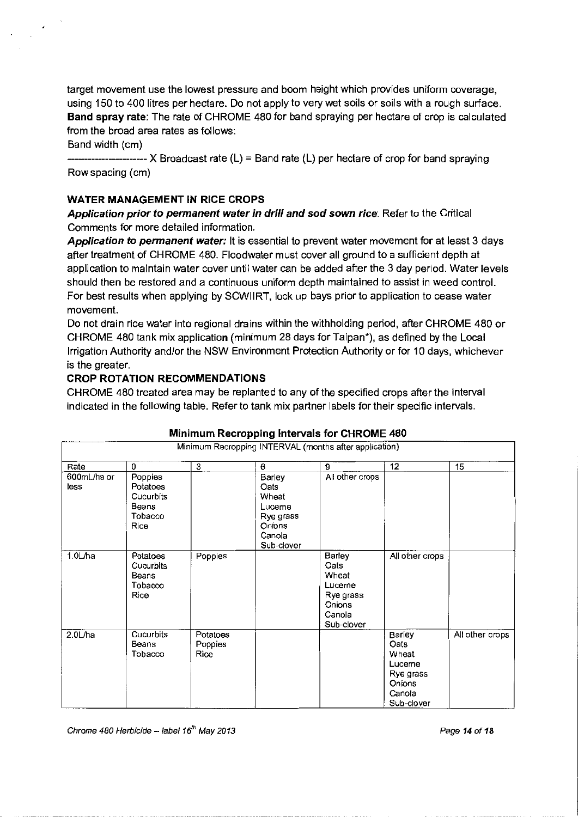target movement use the lowest pressure and boom height which provides uniform coverage, using 150 to 400 litres per hectare. Do not apply to very wet soils or soils with a rough surface. **Band spray rate:** The rate of CHROME 480 for band spraying per hectare of crop is calculated from the broad area rates as follows:

Band width (em)

-----------------------X Broadcast rate (L) = Band rate (L) per hectare of crop for band spraying Row spacing (em)

# **WATER MANAGEMENT IN RICE CROPS**

**Application prior to permanent water in drill and sod sown rice:** Refer to the Critical Comments for more detailed information.

**Application to permanent water:** It is essential to prevent water movement for at least 3 days after treatment of CHROME 480. Floodwater must cover all ground to a sufficient depth at application to maintain water cover until water can be added after the 3 day period. Water levels should then be restored and a continuous uniform depth maintained to assist in weed control. For best results when applying by SCWIIRT, lock up bays prior to application to cease water movement.

Do not drain rice water into regional drains within the withholding period, after CHROME 480 or CHROME 480 tank mix application (minimum 28 days for Taipan\*), as defined by the Local Irrigation Authority and/or the NSW Environment Protection Authority or for 10 days, whichever is the greater.

# **CROP ROTATION RECOMMENDATIONS**

CHROME 480 treated area may be replanted to any of the specified crops after the interval indicated in the following table. Refer to tank mix partner labels for their specific intervals.

| millillialli Recropping intervals for Orlitomic 400    |                                                              |                             |                                                                                         |                                                                                   |                                                                                   |                 |  |  |
|--------------------------------------------------------|--------------------------------------------------------------|-----------------------------|-----------------------------------------------------------------------------------------|-----------------------------------------------------------------------------------|-----------------------------------------------------------------------------------|-----------------|--|--|
| Minimum Recropping INTERVAL (months after application) |                                                              |                             |                                                                                         |                                                                                   |                                                                                   |                 |  |  |
| Rate                                                   | 0                                                            | 3                           | 6                                                                                       | 9                                                                                 | 12                                                                                | 15              |  |  |
| 600mL/ha or<br>less                                    | Poppies<br>Potatoes<br>Cucurbits<br>Beans<br>Tobacco<br>Rice |                             | <b>Barley</b><br>Oats<br>Wheat<br>Luceme<br>Rye grass<br>Onions<br>Canola<br>Sub-clover | All other crops                                                                   |                                                                                   |                 |  |  |
| $1.0$ L/ha                                             | Potatoes<br>Cucurbits<br>Beans<br>Tobacco<br>Rice            | Poppies                     |                                                                                         | Barley<br>Oats<br>Wheat<br>Lucerne<br>Rye grass<br>Onions<br>Canola<br>Sub-clover | All other crops                                                                   |                 |  |  |
| 2.0L/ha                                                | Cucurbits<br>Beans<br>Tobacco                                | Potatoes<br>Poppies<br>Rice |                                                                                         |                                                                                   | Barley<br>Oats<br>Wheat<br>Lucerne<br>Rye grass<br>Onions<br>Canola<br>Sub-clover | All other crops |  |  |

# **Minimum Recropping Intervals for CHROME 480**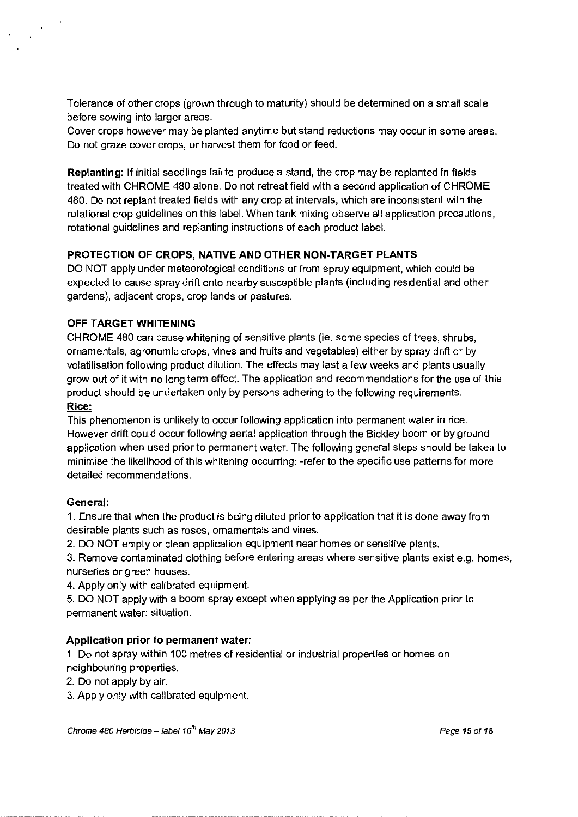Tolerance of other crops (grown through to maturity) should be determined on a small scale before sowing into larger areas.

Cover crops however may be planted anytime but stand reductions may occur in some areas. Do not graze cover crops, or harvest them for food or feed.

**Replanting:** If initial seedlings fail to produce a stand, the crop may be replanted in fields treated with CHROME 480 alone. Do not retreat field with a second application of CHROME 480. Do not replant treated fields with any crop at intervals, which are inconsistent with the rotational crop guidelines on this label. When tank mixing observe all application precautions, rotational guidelines and replanting instructions of each product label.

# **PROTECTION OF CROPS, NATIVE AND OTHER NON-TARGET PLANTS**

DO NOT apply under meteorological conditions or from spray equipment, which could be expected to cause spray drift onto nearby susceptible plants (including residential and other gardens), adjacent crops, crop lands or pastures.

# **OFF TARGET WHITENING**

CHROME 480 can cause whitening of sensitive plants (ie. some species of trees, shrubs, ornamentals, agronomic crops, vines and fruits and vegetables) either by spray drift or by volatilisation following product dilution. The effects may last a few weeks and plants usually grow out of it with no long term effect. The application and recommendations for the use of this product should be undertaken only by persons adhering to the following requirements. **Rice:** 

This phenomenon is unlikely to occur following application into permanent water in rice. However drift could occur following aerial application through the Bickley boom or by ground application when used prior to permanent water. The following general steps should be taken to minimise the likelihood of this whitening occurring: -refer to the specific use patterns for more detailed recommendations.

# **General:**

1. Ensure that when the product is being diluted prior to application that it is done away from desirable plants such as roses, ornamentals and vines.

2. DO NOT empty or clean application equipment near homes or sensitive plants.

3. Remove contaminated clothing before entering areas where sensitive plants exist e.g. homes, nurseries or green houses.

4. Apply only with calibrated equipment.

5. DO NOT apply with a boom spray except when applying as per the Application prior to permanent water: situation.

# **Application prior to permanent water:**

1. Do not spray within 100 metres of residential or industrial properties or homes on neighbouring properties.

2. Do not apply by air.

3. Apply only with calibrated equipment.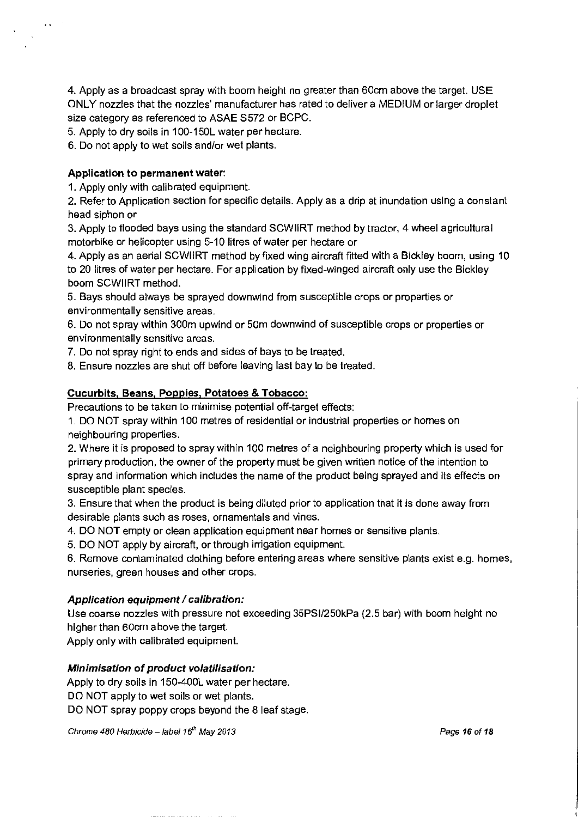4. Apply as a broadcast spray with boom height no greater than 60cm above the target. USE ONLY nozzles that the nozzles' manufacturer has rated to deliver a MEDIUM or larger droplet size category as referenced to ASAE 8572 or BCPC.

5. Apply to dry soils in 1 00-150L water per hectare.

6. Do not apply to wet soils and/or wet plants.

# **Application to permanent water:**

 $\cdot$   $\cdot$ 

1. Apply only with calibrated equipment.

2. Refer to Application section for specific details. Apply as a drip at inundation using a constant head siphon or

3. Apply to flooded bays using the standard SCWIIRT method by tractor, 4 wheel agricultural motorbike or helicopter using 5-10 litres of water per hectare or

4. Apply as an aerial SCWIIRT method by fixed wing aircraft fitted with a Bickley boom, using 10 to 20 litres of water per hectare. For application by fixed-winged aircraft only use the Bickley boom SCWIIRT method.

5. Bays should always be sprayed downwind from susceptible crops or properties or environmentally sensitive areas.

6. Do not spray within 300m upwind or 50m downwind of susceptible crops or properties or environmentally sensitive areas.

7. Do not spray right to ends and sides of bays to be treated.

8. Ensure nozzles are shut off before leaving last bay to be treated.

# **Cucurbits, Beans. Poppies, Potatoes & Tobacco:**

Precautions to be taken to minimise potential off-target effects:

1. DO NOT spray within 100 metres of residential or industrial properties or homes on neighbouring properties.

2. Where it is proposed to spray within 100 metres of a neighbouring property which is used for primary production, the owner of the property must be given written notice of the intention to spray and information which includes the name of the product being sprayed and its effects on susceptible plant species.

3. Ensure that when the product is being diluted prior to application that it is done away from desirable plants such as roses, ornamentals and vines.

4. DO NOT empty or clean application equipment near homes or sensitive plants.

5. DO NOT apply by aircraft, or through irrigation equipment.

6. Remove contaminated clothing before entering areas where sensitive plants exist e.g. homes, nurseries, green houses and other crops.

# **Application equipment / calibration:**

Use coarse nozzles with pressure not exceeding 35PSI/250kPa (2.5 bar) with boom height no higher than 60cm above the target.

Apply only with calibrated equipment.

# **Minimisation of product volatilisation:**

Apply to dry soils in 150-400L water per hectare. DO NOT apply to wet soils or wet plants. DO NOT spray poppy crops beyond the 8 leaf stage.

Chrome 480 Herbicide -- label 16<sup>th</sup> May 2013 **Page 16of 18** Page 16 of 18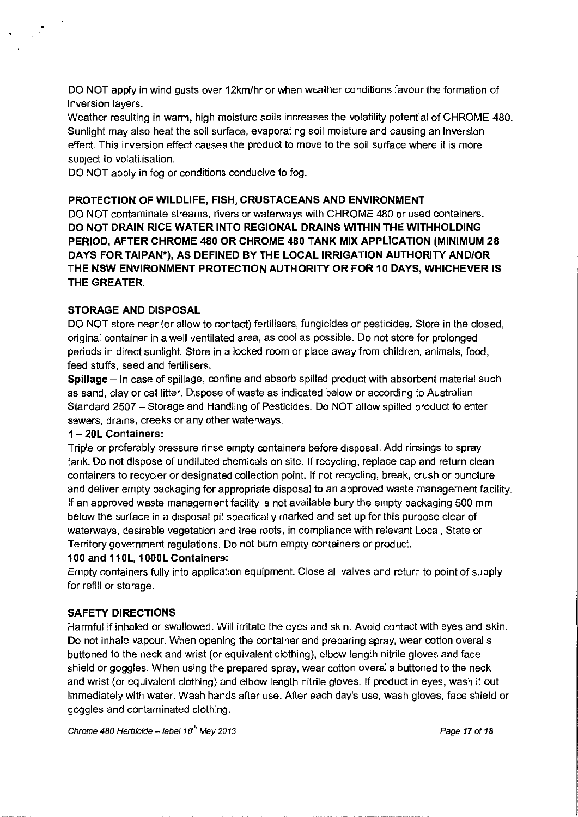DO NOT apply in wind gusts over 12km/hr or when weather conditions favour the formation of inversion layers.

Weather resulting in warm, high moisture soils increases the volatility potential of CHROME 480. Sunlight may also heat the soil surface, evaporating soil moisture and causing an inversion effect. This inversion effect causes the product to move to the soil surface where it is more subject to volatilisation.

DO NOT apply in fog or conditions conducive to fog.

# **PROTECTION OF WILDLIFE, FISH, CRUSTACEANS AND ENVIRONMENT**

DO NOT contaminate streams, rivers or waterways with CHROME 480 or used containers. **DO NOT DRAIN RICE WATER INTO REGIONAL DRAINS WITHIN THE WITHHOLDING PERIOD, AFTER CHROME 480 OR CHROME 480 TANK MIX APPLICATION (MINIMUM 28 DAYS FOR TAIPAN\*), AS DEFINED BY THE LOCAL IRRIGATION AUTHORITY AND/OR THE NSW ENVIRONMENT PROTECTION AUTHORITY OR FOR 10 DAYS, WHICHEVER IS THE GREATER.** 

### **STORAGE AND DISPOSAL**

DO NOT store near (or allow to contact) fertilisers, fungicides or pesticides. Store in the closed, original container in a well ventilated area, as cool as possible. Do not store for prolonged periods in direct sunlight. Store in a locked room or place away from children, animals, food, feed stuffs, seed and fertilisers.

**Spillage-** In case of spillage, confine and absorb spilled product with absorbent material such as sand, clay or cat litter. Dispose of waste as indicated below or according to Australian Standard 2507- Storage and Handling of Pesticides. Do NOT allow spilled product to enter sewers, drains, creeks or any other waterways.

#### **1 - 20L Containers:**

Triple or preferably pressure rinse empty containers before disposal. Add rinsings to spray tank. Do not dispose of undiluted chemicals on site. If recycling, replace cap and return clean containers to recycler or designated collection point. If not recycling, break, crush or puncture and deliver empty packaging for appropriate disposal to an approved waste management facility. If an approved waste management facility is not available bury the empty packaging 500 mm below the surface in a disposal pit specifically marked and set up for this purpose clear of waterways, desirable vegetation and tree roots, in compliance with relevant Local, State or Territory government regulations. Do not burn empty containers or product.

#### **100 and 11 OL, 1 OOOL Containers:**

Empty containers fully into application equipment. Close all valves and return to point of supply for refill or storage.

# **SAFETY DIRECTIONS**

Harmful if inhaled or swallowed. Will irritate the eyes and skin. Avoid contact with eyes and skin. Do not inhale vapour. When opening the container and preparing spray, wear cotton overalls buttoned to the neck and wrist (or equivalent clothing), elbow length nitrile gloves and face shield or goggles. When using the prepared spray, wear cotton overalls buttoned to the neck and wrist (or equivalent clothing) and elbow length nitrile gloves. If product in eyes, wash it out immediately with water. Wash hands after use. After each day's use, wash gloves, face shield or goggles and contaminated clothing.